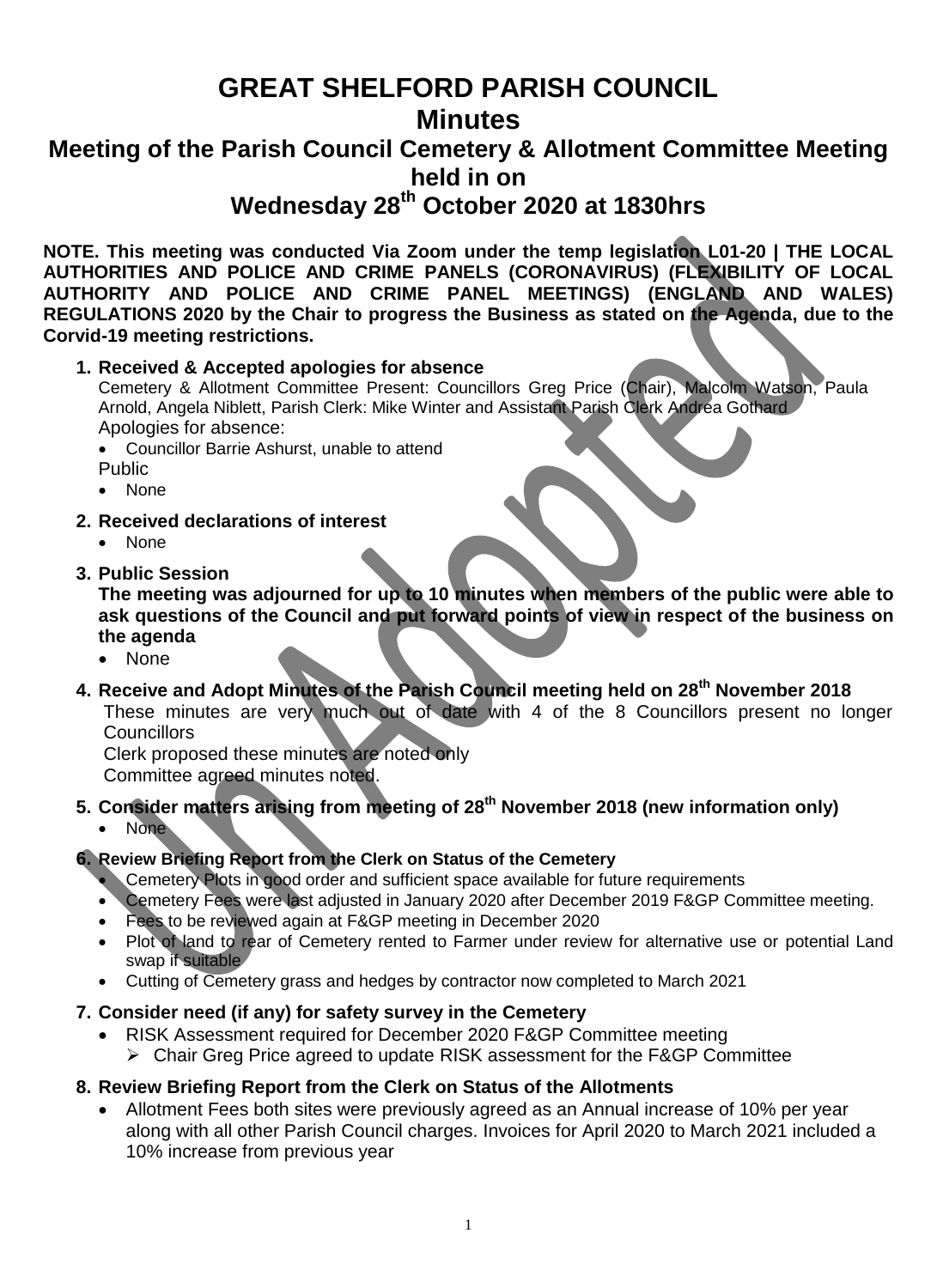# **GREAT SHELFORD PARISH COUNCIL Minutes**

# **Meeting of the Parish Council Cemetery & Allotment Committee Meeting held in on**

**Wednesday 28th October 2020 at 1830hrs**

**NOTE. This meeting was conducted Via Zoom under the temp legislation L01-20 | THE LOCAL AUTHORITIES AND POLICE AND CRIME PANELS (CORONAVIRUS) (FLEXIBILITY OF LOCAL AUTHORITY AND POLICE AND CRIME PANEL MEETINGS) (ENGLAND AND WALES) REGULATIONS 2020 by the Chair to progress the Business as stated on the Agenda, due to the Corvid-19 meeting restrictions.**

**1. Received & Accepted apologies for absence**

Cemetery & Allotment Committee Present: Councillors Greg Price (Chair), Malcolm Watson, Paula Arnold, Angela Niblett, Parish Clerk: Mike Winter and Assistant Parish Clerk Andrea Gothard Apologies for absence:

• Councillor Barrie Ashurst, unable to attend Public

- None
- **2. Received declarations of interest**
	- None
- **3. Public Session**

**The meeting was adjourned for up to 10 minutes when members of the public were able to ask questions of the Council and put forward points of view in respect of the business on the agenda**

- None
- **4. Receive and Adopt Minutes of the Parish Council meeting held on 28th November 2018** These minutes are very much out of date with 4 of the 8 Councillors present no longer **Councillors**

Clerk proposed these minutes are noted only

Committee agreed minutes noted.

**5. Consider matters arising from meeting of 28th November 2018 (new information only)** • None

# **6. Review Briefing Report from the Clerk on Status of the Cemetery**

- Cemetery Plots in good order and sufficient space available for future requirements
- Cemetery Fees were last adjusted in January 2020 after December 2019 F&GP Committee meeting.
- Fees to be reviewed again at F&GP meeting in December 2020
- Plot of land to rear of Cemetery rented to Farmer under review for alternative use or potential Land swap if suitable
- Cutting of Cemetery grass and hedges by contractor now completed to March 2021

### **7. Consider need (if any) for safety survey in the Cemetery**

- RISK Assessment required for December 2020 F&GP Committee meeting
	- Chair Greg Price agreed to update RISK assessment for the F&GP Committee

### **8. Review Briefing Report from the Clerk on Status of the Allotments**

 Allotment Fees both sites were previously agreed as an Annual increase of 10% per year along with all other Parish Council charges. Invoices for April 2020 to March 2021 included a 10% increase from previous year